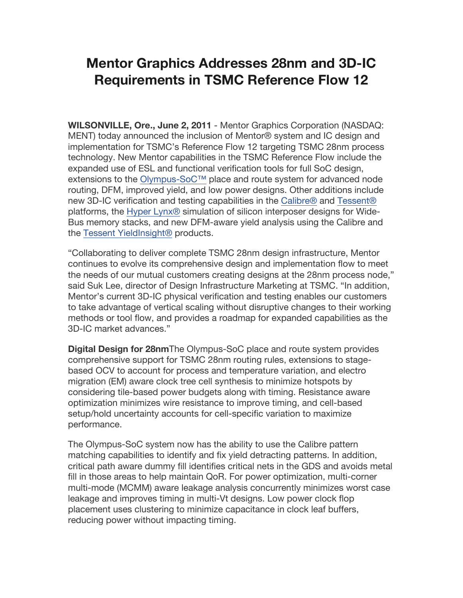## **Mentor Graphics Addresses 28nm and 3D-IC Requirements in TSMC Reference Flow 12**

**WILSONVILLE, Ore., June 2, 2011** - Mentor Graphics Corporation (NASDAQ: MENT) today announced the inclusion of Mentor® system and IC design and implementation for TSMC's Reference Flow 12 targeting TSMC 28nm process technology. New Mentor capabilities in the TSMC Reference Flow include the expanded use of ESL and functional verification tools for full SoC design, extensions to the Olympus-SoC™ place and route system for advanced node routing, DFM, improved yield, and low power designs. Other additions include new 3D-IC verification and testing capabilities in the Calibre® and Tessent® platforms, the Hyper Lynx® simulation of silicon interposer designs for Wide-Bus memory stacks, and new DFM-aware yield analysis using the Calibre and the Tessent YieldInsight® products.

"Collaborating to deliver complete TSMC 28nm design infrastructure, Mentor continues to evolve its comprehensive design and implementation flow to meet the needs of our mutual customers creating designs at the 28nm process node," said Suk Lee, director of Design Infrastructure Marketing at TSMC. "In addition, Mentor's current 3D-IC physical verification and testing enables our customers to take advantage of vertical scaling without disruptive changes to their working methods or tool flow, and provides a roadmap for expanded capabilities as the 3D-IC market advances."

**Digital Design for 28nm**The Olympus-SoC place and route system provides comprehensive support for TSMC 28nm routing rules, extensions to stagebased OCV to account for process and temperature variation, and electro migration (EM) aware clock tree cell synthesis to minimize hotspots by considering tile-based power budgets along with timing. Resistance aware optimization minimizes wire resistance to improve timing, and cell-based setup/hold uncertainty accounts for cell-specific variation to maximize performance.

The Olympus-SoC system now has the ability to use the Calibre pattern matching capabilities to identify and fix yield detracting patterns. In addition, critical path aware dummy fill identifies critical nets in the GDS and avoids metal fill in those areas to help maintain QoR. For power optimization, multi-corner multi-mode (MCMM) aware leakage analysis concurrently minimizes worst case leakage and improves timing in multi-Vt designs. Low power clock flop placement uses clustering to minimize capacitance in clock leaf buffers, reducing power without impacting timing.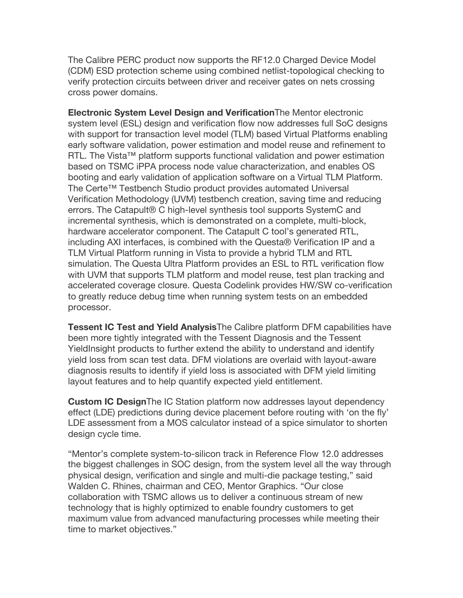The Calibre PERC product now supports the RF12.0 Charged Device Model (CDM) ESD protection scheme using combined netlist-topological checking to verify protection circuits between driver and receiver gates on nets crossing cross power domains.

**Electronic System Level Design and Verification**The Mentor electronic system level (ESL) design and verification flow now addresses full SoC designs with support for transaction level model (TLM) based Virtual Platforms enabling early software validation, power estimation and model reuse and refinement to RTL. The Vista™ platform supports functional validation and power estimation based on TSMC iPPA process node value characterization, and enables OS booting and early validation of application software on a Virtual TLM Platform. The Certe™ Testbench Studio product provides automated Universal Verification Methodology (UVM) testbench creation, saving time and reducing errors. The Catapult® C high-level synthesis tool supports SystemC and incremental synthesis, which is demonstrated on a complete, multi-block, hardware accelerator component. The Catapult C tool's generated RTL, including AXI interfaces, is combined with the Questa® Verification IP and a TLM Virtual Platform running in Vista to provide a hybrid TLM and RTL simulation. The Questa Ultra Platform provides an ESL to RTL verification flow with UVM that supports TLM platform and model reuse, test plan tracking and accelerated coverage closure. Questa Codelink provides HW/SW co-verification to greatly reduce debug time when running system tests on an embedded processor.

**Tessent IC Test and Yield Analysis**The Calibre platform DFM capabilities have been more tightly integrated with the Tessent Diagnosis and the Tessent YieldInsight products to further extend the ability to understand and identify yield loss from scan test data. DFM violations are overlaid with layout-aware diagnosis results to identify if yield loss is associated with DFM yield limiting layout features and to help quantify expected yield entitlement.

**Custom IC Design**The IC Station platform now addresses layout dependency effect (LDE) predictions during device placement before routing with 'on the fly' LDE assessment from a MOS calculator instead of a spice simulator to shorten design cycle time.

"Mentor's complete system-to-silicon track in Reference Flow 12.0 addresses the biggest challenges in SOC design, from the system level all the way through physical design, verification and single and multi-die package testing," said Walden C. Rhines, chairman and CEO, Mentor Graphics. "Our close collaboration with TSMC allows us to deliver a continuous stream of new technology that is highly optimized to enable foundry customers to get maximum value from advanced manufacturing processes while meeting their time to market objectives."